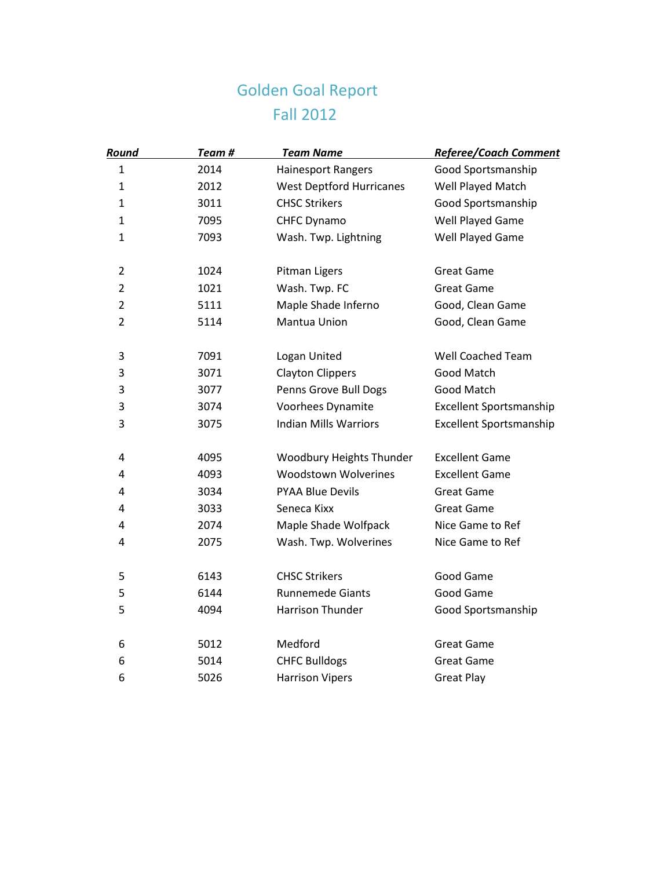## Golden Goal Report Fall 2012

| Round                   | Team# | <b>Team Name</b>                | Referee/Coach Comment   |
|-------------------------|-------|---------------------------------|-------------------------|
| $\mathbf{1}$            | 2014  | <b>Hainesport Rangers</b>       | Good Sportsmanship      |
| $\mathbf{1}$            | 2012  | <b>West Deptford Hurricanes</b> | Well Played Match       |
| $\mathbf{1}$            | 3011  | <b>CHSC Strikers</b>            | Good Sportsmanship      |
| $\mathbf 1$             | 7095  | CHFC Dynamo                     | Well Played Game        |
| $\mathbf 1$             | 7093  | Wash. Twp. Lightning            | Well Played Game        |
| $\overline{2}$          | 1024  | Pitman Ligers                   | <b>Great Game</b>       |
| $\overline{2}$          | 1021  | Wash. Twp. FC                   | <b>Great Game</b>       |
| $\overline{2}$          | 5111  | Maple Shade Inferno             | Good, Clean Game        |
| $\overline{2}$          | 5114  | Mantua Union                    | Good, Clean Game        |
| $\mathsf 3$             | 7091  | Logan United                    | Well Coached Team       |
| 3                       | 3071  | <b>Clayton Clippers</b>         | Good Match              |
| 3                       | 3077  | Penns Grove Bull Dogs           | Good Match              |
| 3                       | 3074  | Voorhees Dynamite               | Excellent Sportsmanship |
| 3                       | 3075  | <b>Indian Mills Warriors</b>    | Excellent Sportsmanship |
| $\overline{\mathbf{4}}$ | 4095  | Woodbury Heights Thunder        | <b>Excellent Game</b>   |
| $\overline{4}$          | 4093  | <b>Woodstown Wolverines</b>     | <b>Excellent Game</b>   |
| 4                       | 3034  | <b>PYAA Blue Devils</b>         | <b>Great Game</b>       |
| $\overline{\mathbf{4}}$ | 3033  | Seneca Kixx                     | <b>Great Game</b>       |
| $\overline{\mathbf{4}}$ | 2074  | Maple Shade Wolfpack            | Nice Game to Ref        |
| $\overline{4}$          | 2075  | Wash. Twp. Wolverines           | Nice Game to Ref        |
| 5                       | 6143  | <b>CHSC Strikers</b>            | Good Game               |
| 5                       | 6144  | <b>Runnemede Giants</b>         | Good Game               |
| 5                       | 4094  | Harrison Thunder                | Good Sportsmanship      |
| 6                       | 5012  | Medford                         | <b>Great Game</b>       |
| 6                       | 5014  | <b>CHFC Bulldogs</b>            | <b>Great Game</b>       |
| 6                       | 5026  | <b>Harrison Vipers</b>          | <b>Great Play</b>       |